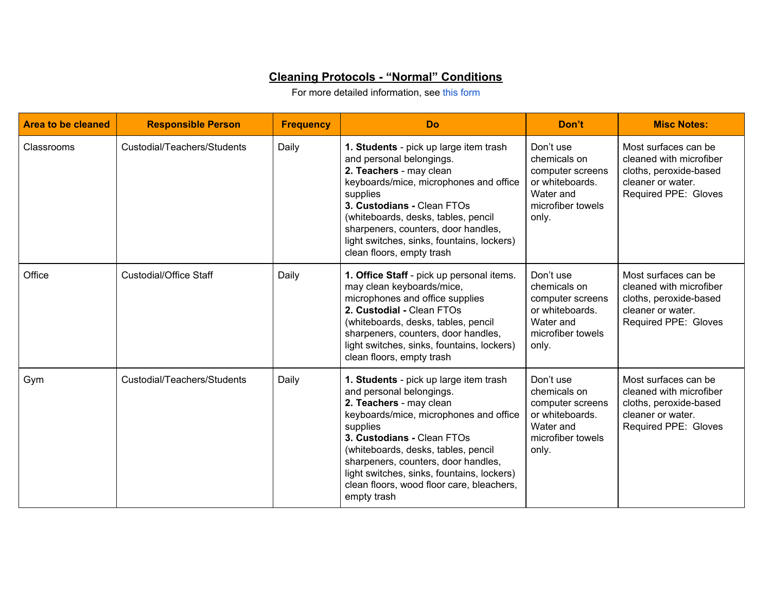## **Cleaning Protocols - "Normal" Conditions**

For more detailed information, see this [form](https://drive.google.com/file/d/0B29WCD2r69SoczlXa0FBS3RDZjQ/view?usp=sharing)

| <b>Area to be cleaned</b> | <b>Responsible Person</b>     | <b>Frequency</b> | Do                                                                                                                                                                                                                                                                                                                                                                        | Don't                                                                                                       | <b>Misc Notes:</b>                                                                                                     |
|---------------------------|-------------------------------|------------------|---------------------------------------------------------------------------------------------------------------------------------------------------------------------------------------------------------------------------------------------------------------------------------------------------------------------------------------------------------------------------|-------------------------------------------------------------------------------------------------------------|------------------------------------------------------------------------------------------------------------------------|
| Classrooms                | Custodial/Teachers/Students   | Daily            | 1. Students - pick up large item trash<br>and personal belongings.<br>2. Teachers - may clean<br>keyboards/mice, microphones and office<br>supplies<br>3. Custodians - Clean FTOs<br>(whiteboards, desks, tables, pencil<br>sharpeners, counters, door handles,<br>light switches, sinks, fountains, lockers)<br>clean floors, empty trash                                | Don't use<br>chemicals on<br>computer screens<br>or whiteboards.<br>Water and<br>microfiber towels<br>only. | Most surfaces can be<br>cleaned with microfiber<br>cloths, peroxide-based<br>cleaner or water.<br>Required PPE: Gloves |
| Office                    | <b>Custodial/Office Staff</b> | Daily            | 1. Office Staff - pick up personal items.<br>may clean keyboards/mice,<br>microphones and office supplies<br>2. Custodial - Clean FTOs<br>(whiteboards, desks, tables, pencil<br>sharpeners, counters, door handles,<br>light switches, sinks, fountains, lockers)<br>clean floors, empty trash                                                                           | Don't use<br>chemicals on<br>computer screens<br>or whiteboards.<br>Water and<br>microfiber towels<br>only. | Most surfaces can be<br>cleaned with microfiber<br>cloths, peroxide-based<br>cleaner or water.<br>Required PPE: Gloves |
| Gym                       | Custodial/Teachers/Students   | Daily            | 1. Students - pick up large item trash<br>and personal belongings.<br>2. Teachers - may clean<br>keyboards/mice, microphones and office<br>supplies<br>3. Custodians - Clean FTOs<br>(whiteboards, desks, tables, pencil<br>sharpeners, counters, door handles,<br>light switches, sinks, fountains, lockers)<br>clean floors, wood floor care, bleachers,<br>empty trash | Don't use<br>chemicals on<br>computer screens<br>or whiteboards.<br>Water and<br>microfiber towels<br>only. | Most surfaces can be<br>cleaned with microfiber<br>cloths, peroxide-based<br>cleaner or water.<br>Required PPE: Gloves |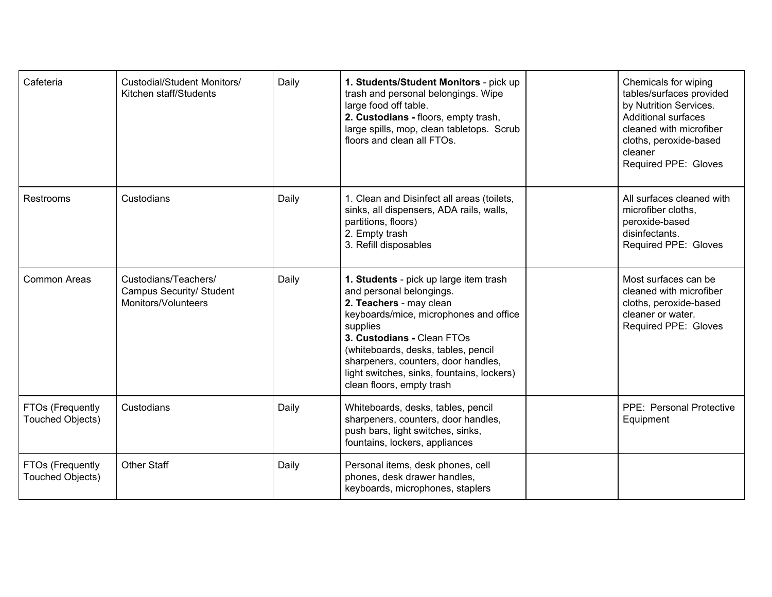| Cafeteria                            | <b>Custodial/Student Monitors/</b><br>Kitchen staff/Students            | Daily | 1. Students/Student Monitors - pick up<br>trash and personal belongings. Wipe<br>large food off table.<br>2. Custodians - floors, empty trash,<br>large spills, mop, clean tabletops. Scrub<br>floors and clean all FTOs.                                                                                                                  | Chemicals for wiping<br>tables/surfaces provided<br>by Nutrition Services.<br><b>Additional surfaces</b><br>cleaned with microfiber<br>cloths, peroxide-based<br>cleaner<br>Required PPE: Gloves |
|--------------------------------------|-------------------------------------------------------------------------|-------|--------------------------------------------------------------------------------------------------------------------------------------------------------------------------------------------------------------------------------------------------------------------------------------------------------------------------------------------|--------------------------------------------------------------------------------------------------------------------------------------------------------------------------------------------------|
| Restrooms                            | Custodians                                                              | Daily | 1. Clean and Disinfect all areas (toilets,<br>sinks, all dispensers, ADA rails, walls,<br>partitions, floors)<br>2. Empty trash<br>3. Refill disposables                                                                                                                                                                                   | All surfaces cleaned with<br>microfiber cloths,<br>peroxide-based<br>disinfectants.<br>Required PPE: Gloves                                                                                      |
| <b>Common Areas</b>                  | Custodians/Teachers/<br>Campus Security/ Student<br>Monitors/Volunteers | Daily | 1. Students - pick up large item trash<br>and personal belongings.<br>2. Teachers - may clean<br>keyboards/mice, microphones and office<br>supplies<br>3. Custodians - Clean FTOs<br>(whiteboards, desks, tables, pencil<br>sharpeners, counters, door handles,<br>light switches, sinks, fountains, lockers)<br>clean floors, empty trash | Most surfaces can be<br>cleaned with microfiber<br>cloths, peroxide-based<br>cleaner or water.<br>Required PPE: Gloves                                                                           |
| FTOs (Frequently<br>Touched Objects) | Custodians                                                              | Daily | Whiteboards, desks, tables, pencil<br>sharpeners, counters, door handles,<br>push bars, light switches, sinks,<br>fountains, lockers, appliances                                                                                                                                                                                           | PPE: Personal Protective<br>Equipment                                                                                                                                                            |
| FTOs (Frequently<br>Touched Objects) | <b>Other Staff</b>                                                      | Daily | Personal items, desk phones, cell<br>phones, desk drawer handles,<br>keyboards, microphones, staplers                                                                                                                                                                                                                                      |                                                                                                                                                                                                  |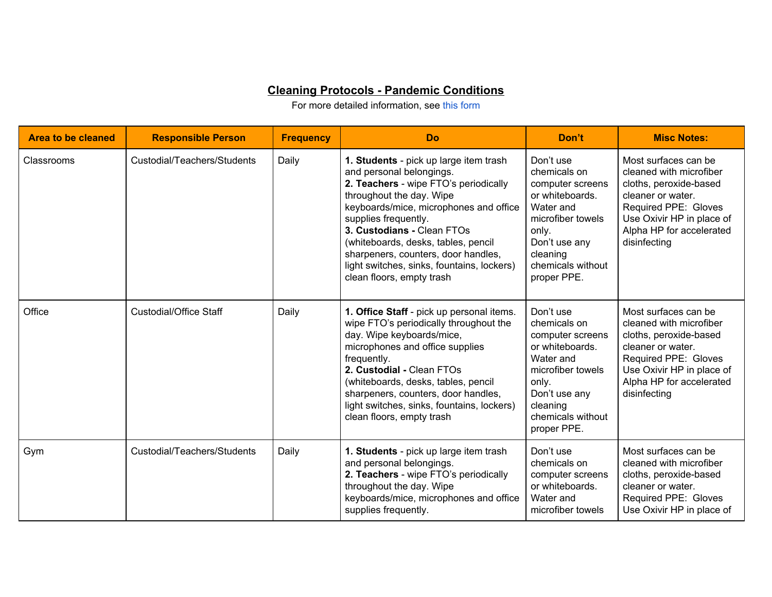## **Cleaning Protocols - Pandemic Conditions**

For more detailed information, see this [form](https://drive.google.com/file/d/0B29WCD2r69SoczlXa0FBS3RDZjQ/view?usp=sharing)

| <b>Area to be cleaned</b> | <b>Responsible Person</b>     | <b>Frequency</b> | <b>Do</b>                                                                                                                                                                                                                                                                                                                                                                                        | Don't                                                                                                                                                                        | <b>Misc Notes:</b>                                                                                                                                                                              |
|---------------------------|-------------------------------|------------------|--------------------------------------------------------------------------------------------------------------------------------------------------------------------------------------------------------------------------------------------------------------------------------------------------------------------------------------------------------------------------------------------------|------------------------------------------------------------------------------------------------------------------------------------------------------------------------------|-------------------------------------------------------------------------------------------------------------------------------------------------------------------------------------------------|
| Classrooms                | Custodial/Teachers/Students   | Daily            | 1. Students - pick up large item trash<br>and personal belongings.<br>2. Teachers - wipe FTO's periodically<br>throughout the day. Wipe<br>keyboards/mice, microphones and office<br>supplies frequently.<br>3. Custodians - Clean FTOs<br>(whiteboards, desks, tables, pencil<br>sharpeners, counters, door handles,<br>light switches, sinks, fountains, lockers)<br>clean floors, empty trash | Don't use<br>chemicals on<br>computer screens<br>or whiteboards.<br>Water and<br>microfiber towels<br>only.<br>Don't use any<br>cleaning<br>chemicals without<br>proper PPE. | Most surfaces can be<br>cleaned with microfiber<br>cloths, peroxide-based<br>cleaner or water.<br>Required PPE: Gloves<br>Use Oxivir HP in place of<br>Alpha HP for accelerated<br>disinfecting |
| Office                    | <b>Custodial/Office Staff</b> | Daily            | 1. Office Staff - pick up personal items.<br>wipe FTO's periodically throughout the<br>day. Wipe keyboards/mice,<br>microphones and office supplies<br>frequently.<br>2. Custodial - Clean FTOs<br>(whiteboards, desks, tables, pencil<br>sharpeners, counters, door handles,<br>light switches, sinks, fountains, lockers)<br>clean floors, empty trash                                         | Don't use<br>chemicals on<br>computer screens<br>or whiteboards.<br>Water and<br>microfiber towels<br>only.<br>Don't use any<br>cleaning<br>chemicals without<br>proper PPE. | Most surfaces can be<br>cleaned with microfiber<br>cloths, peroxide-based<br>cleaner or water.<br>Required PPE: Gloves<br>Use Oxivir HP in place of<br>Alpha HP for accelerated<br>disinfecting |
| Gym                       | Custodial/Teachers/Students   | Daily            | 1. Students - pick up large item trash<br>and personal belongings.<br>2. Teachers - wipe FTO's periodically<br>throughout the day. Wipe<br>keyboards/mice, microphones and office<br>supplies frequently.                                                                                                                                                                                        | Don't use<br>chemicals on<br>computer screens<br>or whiteboards.<br>Water and<br>microfiber towels                                                                           | Most surfaces can be<br>cleaned with microfiber<br>cloths, peroxide-based<br>cleaner or water.<br>Required PPE: Gloves<br>Use Oxivir HP in place of                                             |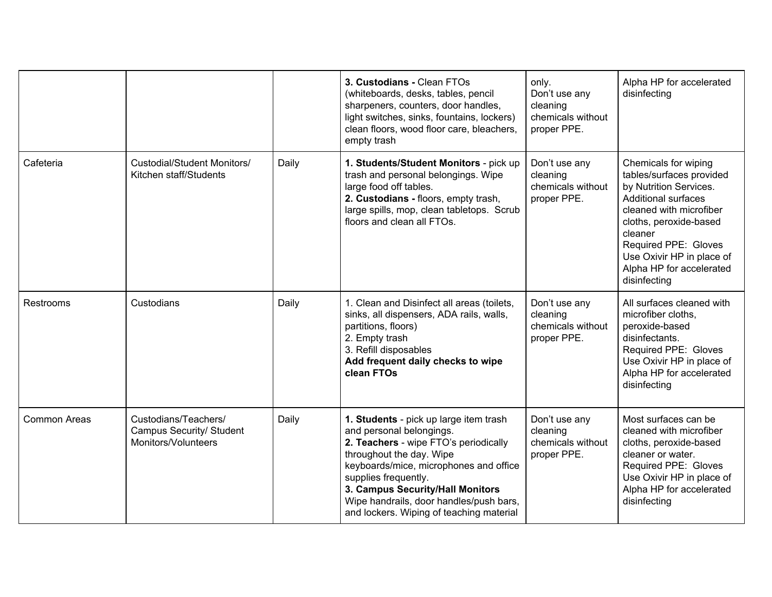|              |                                                                                |       | 3. Custodians - Clean FTOs<br>(whiteboards, desks, tables, pencil<br>sharpeners, counters, door handles,<br>light switches, sinks, fountains, lockers)<br>clean floors, wood floor care, bleachers,<br>empty trash                                                                                                                   | only.<br>Don't use any<br>cleaning<br>chemicals without<br>proper PPE. | Alpha HP for accelerated<br>disinfecting                                                                                                                                                                                                                                  |
|--------------|--------------------------------------------------------------------------------|-------|--------------------------------------------------------------------------------------------------------------------------------------------------------------------------------------------------------------------------------------------------------------------------------------------------------------------------------------|------------------------------------------------------------------------|---------------------------------------------------------------------------------------------------------------------------------------------------------------------------------------------------------------------------------------------------------------------------|
| Cafeteria    | <b>Custodial/Student Monitors/</b><br>Kitchen staff/Students                   | Daily | 1. Students/Student Monitors - pick up<br>trash and personal belongings. Wipe<br>large food off tables.<br>2. Custodians - floors, empty trash,<br>large spills, mop, clean tabletops. Scrub<br>floors and clean all FTOs.                                                                                                           | Don't use any<br>cleaning<br>chemicals without<br>proper PPE.          | Chemicals for wiping<br>tables/surfaces provided<br>by Nutrition Services.<br><b>Additional surfaces</b><br>cleaned with microfiber<br>cloths, peroxide-based<br>cleaner<br>Required PPE: Gloves<br>Use Oxivir HP in place of<br>Alpha HP for accelerated<br>disinfecting |
| Restrooms    | Custodians                                                                     | Daily | 1. Clean and Disinfect all areas (toilets,<br>sinks, all dispensers, ADA rails, walls,<br>partitions, floors)<br>2. Empty trash<br>3. Refill disposables<br>Add frequent daily checks to wipe<br>clean FTOs                                                                                                                          | Don't use any<br>cleaning<br>chemicals without<br>proper PPE.          | All surfaces cleaned with<br>microfiber cloths,<br>peroxide-based<br>disinfectants.<br>Required PPE: Gloves<br>Use Oxivir HP in place of<br>Alpha HP for accelerated<br>disinfecting                                                                                      |
| Common Areas | Custodians/Teachers/<br><b>Campus Security/ Student</b><br>Monitors/Volunteers | Daily | 1. Students - pick up large item trash<br>and personal belongings.<br>2. Teachers - wipe FTO's periodically<br>throughout the day. Wipe<br>keyboards/mice, microphones and office<br>supplies frequently.<br>3. Campus Security/Hall Monitors<br>Wipe handrails, door handles/push bars,<br>and lockers. Wiping of teaching material | Don't use any<br>cleaning<br>chemicals without<br>proper PPE.          | Most surfaces can be<br>cleaned with microfiber<br>cloths, peroxide-based<br>cleaner or water.<br>Required PPE: Gloves<br>Use Oxivir HP in place of<br>Alpha HP for accelerated<br>disinfecting                                                                           |